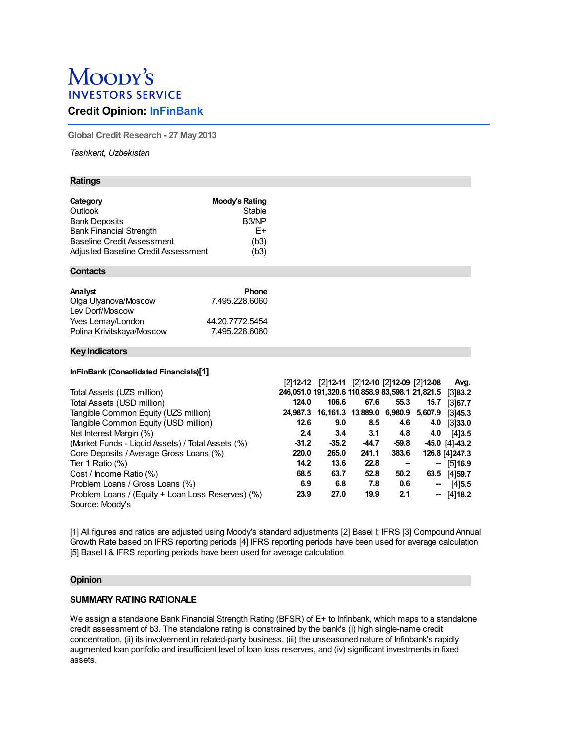# Moody's **INVESTORS SERVICE Credit Opinion: InFinBank**

**Global Credit Research - 27 May2013**

*Tashkent, Uzbekistan*

## **Ratings**

| Category                            | Moody's Rating     |
|-------------------------------------|--------------------|
| Outlook                             | Stable             |
| <b>Bank Deposits</b>                | B <sub>3</sub> /NP |
| <b>Bank Financial Strength</b>      | F+                 |
| <b>Baseline Credit Assessment</b>   | (b3)               |
| Adjusted Baseline Credit Assessment | (b3)               |

#### **Contacts**

| Analyst                                                           | <b>Phone</b>                      |
|-------------------------------------------------------------------|-----------------------------------|
| Olga Ulyanova/Moscow                                              | 7.495.228.6060                    |
| Lev Dorf/Moscow<br>Yves Lemay/London<br>Polina Krivitskaya/Moscow | 44.20.7772.5454<br>7.495.228.6060 |

#### **KeyIndicators**

## **InFinBank (Consolidated Financials)[1]**

|                                                   | [2] 12-12                                       |         | [2] 12-11 [2] 12-10 [2] 12-09 [2] 12-08 |         |         | Avg.                |
|---------------------------------------------------|-------------------------------------------------|---------|-----------------------------------------|---------|---------|---------------------|
| Total Assets (UZS million)                        | 246,051.0 191,320.6 110,858.9 83,598.1 21,821.5 |         |                                         |         |         | [3]83.2             |
| Total Assets (USD million)                        | 124.0                                           | 106.6   | 67.6                                    | 55.3    | 15.7    | [3]67.7             |
| Tangible Common Equity (UZS million)              |                                                 |         | 24,987.3 16,161.3 13,889.0 6,980.9      |         | 5,607.9 | [3]45.3             |
| Tangible Common Equity (USD million)              | 12.6                                            | 9.0     | 8.5                                     | 4.6     | 4.0     | [3]33.0             |
| Net Interest Margin (%)                           | 2.4                                             | 3.4     | 3.1                                     | 4.8     | 4.0     | [4]3.5              |
| (Market Funds - Liquid Assets) / Total Assets (%) | $-31.2$                                         | $-35.2$ | $-44.7$                                 | $-59.8$ |         | $-45.0$ [4] $-43.2$ |
| Core Deposits / Average Gross Loans (%)           | 220.0                                           | 265.0   | 241.1                                   | 383.6   |         | 126.8 [4] 247.3     |
| Tier 1 Ratio $(\%)$                               | 14.2                                            | 13.6    | 22.8                                    |         | -       | [5]16.9             |
| Cost / Income Ratio (%)                           | 68.5                                            | 63.7    | 52.8                                    | 50.2    | 63.5    | $[4]$ 59.7          |
| Problem Loans / Gross Loans (%)                   | 6.9                                             | 6.8     | 7.8                                     | 0.6     | -       | [4]5.5              |
| Problem Loans / (Equity + Loan Loss Reserves) (%) | 23.9                                            | 27.0    | 19.9                                    | 2.1     | ۰.      | [4]18.2             |
| Source: Moody's                                   |                                                 |         |                                         |         |         |                     |

[1] All figures and ratios are adjusted using Moody's standard adjustments [2] Basel I; IFRS [3] Compound Annual Growth Rate based on IFRS reporting periods [4] IFRS reporting periods have been used for average calculation [5] Basel I & IFRS reporting periods have been used for average calculation

## **Opinion**

## **SUMMARY RATING RATIONALE**

We assign a standalone Bank Financial Strength Rating (BFSR) of E+ to Infinbank, which maps to a standalone credit assessment of b3. The standalone rating is constrained by the bank's (i) high single-name credit concentration, (ii) its involvement in related-party business, (iii) the unseasoned nature of Infinbank's rapidly augmented loan portfolio and insufficient level of loan loss reserves, and (iv) significant investments in fixed assets.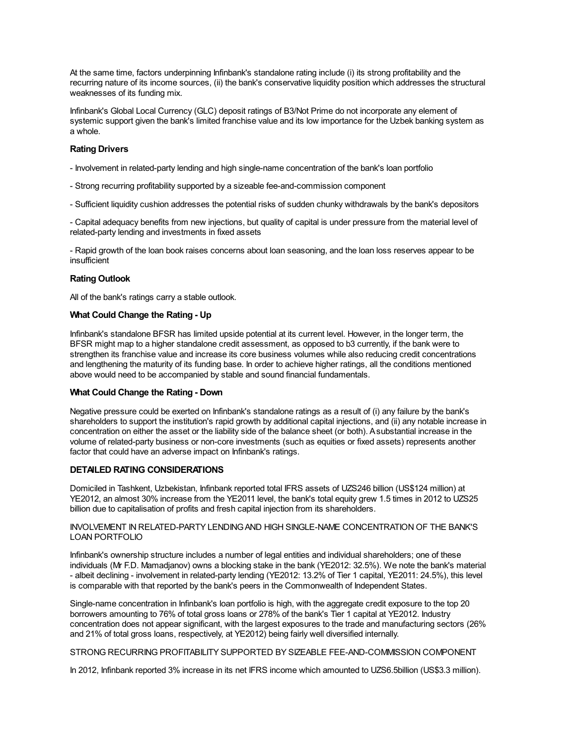At the same time, factors underpinning Infinbank's standalone rating include (i) its strong profitability and the recurring nature of its income sources, (ii) the bank's conservative liquidity position which addresses the structural weaknesses of its funding mix.

Infinbank's Global Local Currency (GLC) deposit ratings of B3/Not Prime do not incorporate any element of systemic support given the bank's limited franchise value and its low importance for the Uzbek banking system as a whole.

## **Rating Drivers**

- Involvement in related-party lending and high single-name concentration of the bank's loan portfolio
- Strong recurring profitability supported by a sizeable fee-and-commission component
- Sufficient liquidity cushion addresses the potential risks of sudden chunky withdrawals by the bank's depositors

- Capital adequacy benefits from new injections, but quality of capital is under pressure from the material level of related-party lending and investments in fixed assets

- Rapid growth of the loan book raises concerns about loan seasoning, and the loan loss reserves appear to be insufficient

#### **Rating Outlook**

All of the bank's ratings carry a stable outlook.

#### **What Could Change the Rating - Up**

Infinbank's standalone BFSR has limited upside potential at its current level. However, in the longer term, the BFSR might map to a higher standalone credit assessment, as opposed to b3 currently, if the bank were to strengthen its franchise value and increase its core business volumes while also reducing credit concentrations and lengthening the maturity of its funding base. In order to achieve higher ratings, all the conditions mentioned above would need to be accompanied by stable and sound financial fundamentals.

## **What Could Change the Rating - Down**

Negative pressure could be exerted on Infinbank's standalone ratings as a result of (i) any failure by the bank's shareholders to support the institution's rapid growth by additional capital injections, and (ii) any notable increase in concentration on either the asset or the liability side of the balance sheet (or both). Asubstantial increase in the volume of related-party business or non-core investments (such as equities or fixed assets) represents another factor that could have an adverse impact on Infinbank's ratings.

#### **DETAILED RATING CONSIDERATIONS**

Domiciled in Tashkent, Uzbekistan, Infinbank reported total IFRS assets of UZS246 billion (US\$124 million) at YE2012, an almost 30% increase from the YE2011 level, the bank's total equity grew 1.5 times in 2012 to UZS25 billion due to capitalisation of profits and fresh capital injection from its shareholders.

## INVOLVEMENT IN RELATED-PARTY LENDINGAND HIGH SINGLE-NAME CONCENTRATION OF THE BANK'S LOAN PORTFOLIO

Infinbank's ownership structure includes a number of legal entities and individual shareholders; one of these individuals (Mr F.D. Mamadjanov) owns a blocking stake in the bank (YE2012: 32.5%). We note the bank's material - albeit declining - involvement in related-party lending (YE2012: 13.2% of Tier 1 capital, YE2011: 24.5%), this level is comparable with that reported by the bank's peers in the Commonwealth of Independent States.

Single-name concentration in Infinbank's loan portfolio is high, with the aggregate credit exposure to the top 20 borrowers amounting to 76% of total gross loans or 278% of the bank's Tier 1 capital at YE2012. Industry concentration does not appear significant, with the largest exposures to the trade and manufacturing sectors (26% and 21% of total gross loans, respectively, at YE2012) being fairly well diversified internally.

#### STRONG RECURRING PROFITABILITY SUPPORTED BY SIZEABLE FEE-AND-COMMISSION COMPONENT

In 2012, Infinbank reported 3% increase in its net IFRS income which amounted to UZS6.5billion (US\$3.3 million).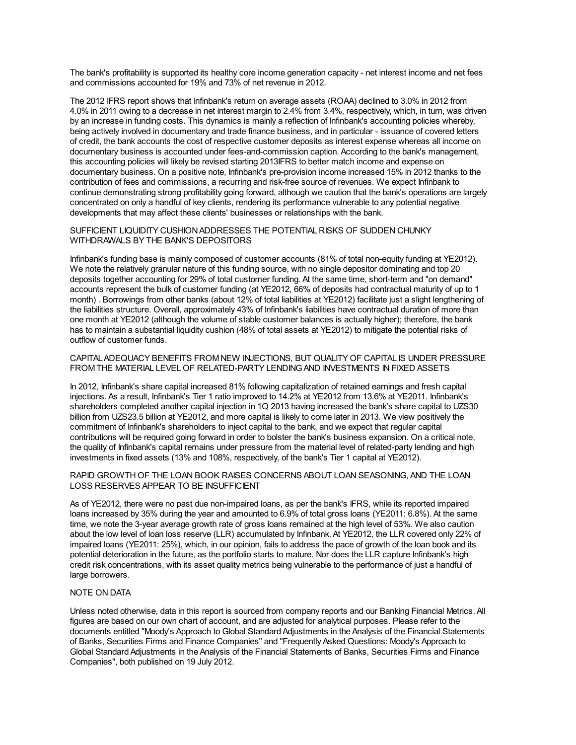The bank's profitability is supported its healthy core income generation capacity - net interest income and net fees and commissions accounted for 19% and 73% of net revenue in 2012.

The 2012 IFRS report shows that Infinbank's return on average assets (ROAA) declined to 3.0% in 2012 from 4.0% in 2011 owing to a decrease in net interest margin to 2.4% from 3.4%, respectively, which, in turn, was driven by an increase in funding costs. This dynamics is mainly a reflection of Infinbank's accounting policies whereby, being actively involved in documentary and trade finance business, and in particular - issuance of covered letters of credit, the bank accounts the cost of respective customer deposits as interest expense whereas all income on documentary business is accounted under fees-and-commission caption. According to the bank's management, this accounting policies will likely be revised starting 2013IFRS to better match income and expense on documentary business. On a positive note, Infinbank's pre-provision income increased 15% in 2012 thanks to the contribution of fees and commissions, a recurring and risk-free source of revenues. We expect Infinbank to continue demonstrating strong profitability going forward, although we caution that the bank's operations are largely concentrated on only a handful of key clients, rendering its performance vulnerable to any potential negative developments that may affect these clients' businesses or relationships with the bank.

## SUFFICIENT LIQUIDITY CUSHION ADDRESSES THE POTENTIAL RISKS OF SUDDEN CHUNKY WITHDRAWALS BY THE BANK'S DEPOSITORS

Infinbank's funding base is mainly composed of customer accounts (81% of total non-equity funding at YE2012). We note the relatively granular nature of this funding source, with no single depositor dominating and top 20 deposits together accounting for 29% of total customer funding. At the same time, short-term and "on demand" accounts represent the bulk of customer funding (at YE2012, 66% of deposits had contractual maturity of up to 1 month) . Borrowings from other banks (about 12% of total liabilities at YE2012) facilitate just a slight lengthening of the liabilities structure. Overall, approximately 43% of Infinbank's liabilities have contractual duration of more than one month at YE2012 (although the volume of stable customer balances is actually higher); therefore, the bank has to maintain a substantial liquidity cushion (48% of total assets at YE2012) to mitigate the potential risks of outflow of customer funds.

## CAPITALADEQUACY BENEFITS FROMNEW INJECTIONS, BUT QUALITYOF CAPITAL IS UNDER PRESSURE FROMTHE MATERIAL LEVELOF RELATED-PARTY LENDINGAND INVESTMENTS IN FIXED ASSETS

In 2012, Infinbank's share capital increased 81% following capitalization of retained earnings and fresh capital injections. As a result, Infinbank's Tier 1 ratio improved to 14.2% at YE2012 from 13.6% at YE2011. Infinbank's shareholders completed another capital injection in 1Q 2013 having increased the bank's share capital to UZS30 billion from UZS23.5 billion at YE2012, and more capital is likely to come later in 2013. We view positively the commitment of Infinbank's shareholders to inject capital to the bank, and we expect that regular capital contributions will be required going forward in order to bolster the bank's business expansion. On a critical note, the quality of Infinbank's capital remains under pressure from the material level of related-party lending and high investments in fixed assets (13% and 108%, respectively, of the bank's Tier 1 capital at YE2012).

#### RAPID GROWTH OF THE LOAN BOOK RAISES CONCERNS ABOUT LOAN SEASONING, AND THE LOAN LOSS RESERVES APPEAR TO BE INSUFFICIENT

As of YE2012, there were no past due non-impaired loans, as per the bank's IFRS, while its reported impaired loans increased by 35% during the year and amounted to 6.9% of total gross loans (YE2011: 6.8%). At the same time, we note the 3-year average growth rate of gross loans remained at the high level of 53%. We also caution about the low level of loan loss reserve (LLR) accumulated by Infinbank. At YE2012, the LLR covered only 22% of impaired loans (YE2011: 25%), which, in our opinion, fails to address the pace of growth of the loan book and its potential deterioration in the future, as the portfolio starts to mature. Nor does the LLR capture Infinbank's high credit risk concentrations, with its asset quality metrics being vulnerable to the performance of just a handful of large borrowers.

#### NOTE ON DATA

Unless noted otherwise, data in this report is sourced from company reports and our Banking Financial Metrics. All figures are based on our own chart of account, and are adjusted for analytical purposes. Please refer to the documents entitled "Moody's Approach to Global Standard Adjustments in the Analysis of the Financial Statements of Banks, Securities Firms and Finance Companies" and "Frequently Asked Questions: Moody's Approach to Global Standard Adjustments in the Analysis of the Financial Statements of Banks, Securities Firms and Finance Companies", both published on 19 July 2012.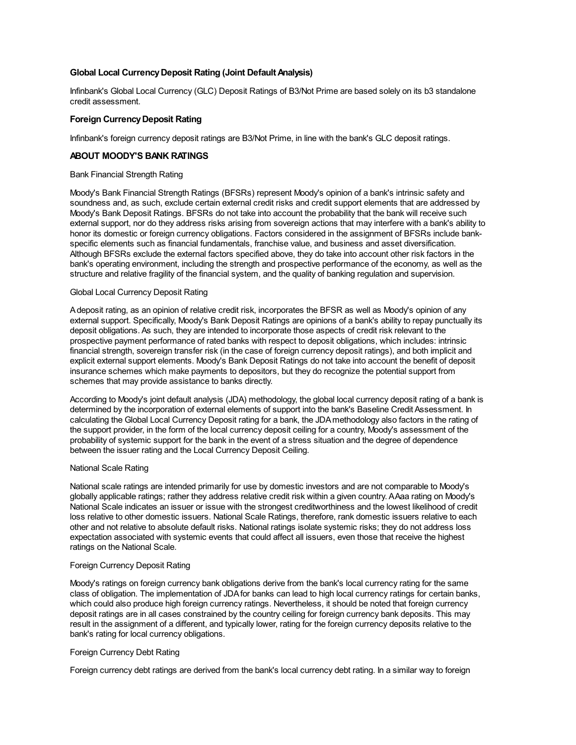## **Global Local CurrencyDeposit Rating (Joint DefaultAnalysis)**

Infinbank's Global Local Currency (GLC) Deposit Ratings of B3/Not Prime are based solely on its b3 standalone credit assessment.

#### **Foreign CurrencyDeposit Rating**

Infinbank's foreign currency deposit ratings are B3/Not Prime, in line with the bank's GLC deposit ratings.

## **ABOUT MOODY'S BANK RATINGS**

#### Bank Financial Strength Rating

Moody's Bank Financial Strength Ratings (BFSRs) represent Moody's opinion of a bank's intrinsic safety and soundness and, as such, exclude certain external credit risks and credit support elements that are addressed by Moody's Bank Deposit Ratings. BFSRs do not take into account the probability that the bank will receive such external support, nor do they address risks arising from sovereign actions that may interfere with a bank's ability to honor its domestic or foreign currency obligations. Factors considered in the assignment of BFSRs include bankspecific elements such as financial fundamentals, franchise value, and business and asset diversification. Although BFSRs exclude the external factors specified above, they do take into account other risk factors in the bank's operating environment, including the strength and prospective performance of the economy, as well as the structure and relative fragility of the financial system, and the quality of banking regulation and supervision.

#### Global Local Currency Deposit Rating

Adeposit rating, as an opinion of relative credit risk, incorporates the BFSR as well as Moody's opinion of any external support. Specifically, Moody's Bank Deposit Ratings are opinions of a bank's ability to repay punctually its deposit obligations. As such, they are intended to incorporate those aspects of credit risk relevant to the prospective payment performance of rated banks with respect to deposit obligations, which includes: intrinsic financial strength, sovereign transfer risk (in the case of foreign currency deposit ratings), and both implicit and explicit external support elements. Moody's Bank Deposit Ratings do not take into account the benefit of deposit insurance schemes which make payments to depositors, but they do recognize the potential support from schemes that may provide assistance to banks directly.

According to Moody's joint default analysis (JDA) methodology, the global local currency deposit rating of a bank is determined by the incorporation of external elements of support into the bank's Baseline Credit Assessment. In calculating the Global Local Currency Deposit rating for a bank, the JDAmethodology also factors in the rating of the support provider, in the form of the local currency deposit ceiling for a country, Moody's assessment of the probability of systemic support for the bank in the event of a stress situation and the degree of dependence between the issuer rating and the Local Currency Deposit Ceiling.

#### National Scale Rating

National scale ratings are intended primarily for use by domestic investors and are not comparable to Moody's globally applicable ratings; rather they address relative credit risk within a given country. AAaa rating on Moody's National Scale indicates an issuer or issue with the strongest creditworthiness and the lowest likelihood of credit loss relative to other domestic issuers. National Scale Ratings, therefore, rank domestic issuers relative to each other and not relative to absolute default risks. National ratings isolate systemic risks; they do not address loss expectation associated with systemic events that could affect all issuers, even those that receive the highest ratings on the National Scale.

#### Foreign Currency Deposit Rating

Moody's ratings on foreign currency bank obligations derive from the bank's local currency rating for the same class of obligation. The implementation of JDAfor banks can lead to high local currency ratings for certain banks, which could also produce high foreign currency ratings. Nevertheless, it should be noted that foreign currency deposit ratings are in all cases constrained by the country ceiling for foreign currency bank deposits. This may result in the assignment of a different, and typically lower, rating for the foreign currency deposits relative to the bank's rating for local currency obligations.

#### Foreign Currency Debt Rating

Foreign currency debt ratings are derived from the bank's local currency debt rating. In a similar way to foreign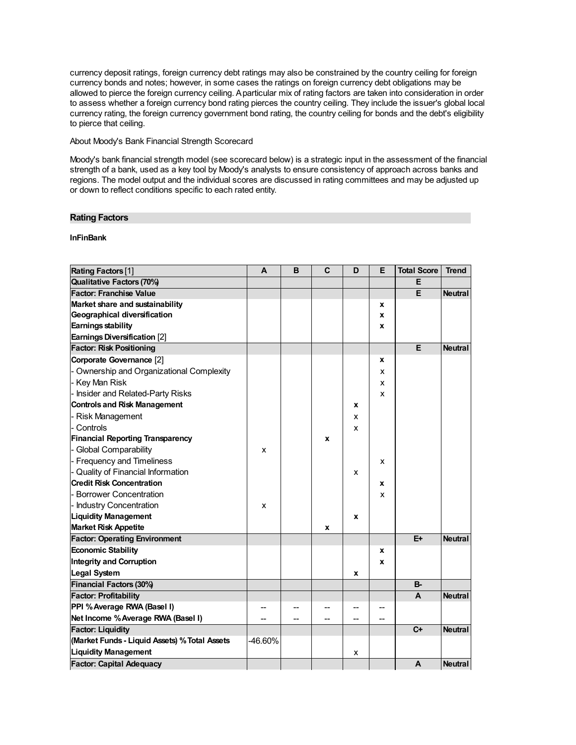currency deposit ratings, foreign currency debt ratings may also be constrained by the country ceiling for foreign currency bonds and notes; however, in some cases the ratings on foreign currency debt obligations may be allowed to pierce the foreign currency ceiling. Aparticular mix of rating factors are taken into consideration in order to assess whether a foreign currency bond rating pierces the country ceiling. They include the issuer's global local currency rating, the foreign currency government bond rating, the country ceiling for bonds and the debt's eligibility to pierce that ceiling.

About Moody's Bank Financial Strength Scorecard

Moody's bank financial strength model (see scorecard below) is a strategic input in the assessment of the financial strength of a bank, used as a key tool by Moody's analysts to ensure consistency of approach across banks and regions. The model output and the individual scores are discussed in rating committees and may be adjusted up or down to reflect conditions specific to each rated entity.

## **Rating Factors**

#### **InFinBank**

| <b>Rating Factors [1]</b>                     | A       | B | C | D | E | <b>Total Score</b> | <b>Trend</b>   |
|-----------------------------------------------|---------|---|---|---|---|--------------------|----------------|
| <b>Qualitative Factors (70%)</b>              |         |   |   |   |   | Е                  |                |
| <b>Factor: Franchise Value</b>                |         |   |   |   |   | E                  | <b>Neutral</b> |
| Market share and sustainability               |         |   |   |   | x |                    |                |
| Geographical diversification                  |         |   |   |   | X |                    |                |
| Earnings stability                            |         |   |   |   | X |                    |                |
| Earnings Diversification [2]                  |         |   |   |   |   |                    |                |
| <b>Factor: Risk Positioning</b>               |         |   |   |   |   | F                  | <b>Neutral</b> |
| Corporate Governance [2]                      |         |   |   |   | x |                    |                |
| - Ownership and Organizational Complexity     |         |   |   |   | x |                    |                |
| - Key Man Risk                                |         |   |   |   | x |                    |                |
| - Insider and Related-Party Risks             |         |   |   |   | x |                    |                |
| <b>Controls and Risk Management</b>           |         |   |   | X |   |                    |                |
| - Risk Management                             |         |   |   | x |   |                    |                |
| - Controls                                    |         |   |   | x |   |                    |                |
| <b>Financial Reporting Transparency</b>       |         |   | X |   |   |                    |                |
| - Global Comparability                        | x       |   |   |   |   |                    |                |
| - Frequency and Timeliness                    |         |   |   |   | x |                    |                |
| - Quality of Financial Information            |         |   |   | x |   |                    |                |
| <b>Credit Risk Concentration</b>              |         |   |   |   | X |                    |                |
| - Borrower Concentration                      |         |   |   |   | x |                    |                |
| - Industry Concentration                      | x       |   |   |   |   |                    |                |
| <b>Liquidity Management</b>                   |         |   |   | X |   |                    |                |
| <b>Market Risk Appetite</b>                   |         |   | x |   |   |                    |                |
| <b>Factor: Operating Environment</b>          |         |   |   |   |   | E+                 | <b>Neutral</b> |
| <b>Economic Stability</b>                     |         |   |   |   | X |                    |                |
| Integrity and Corruption                      |         |   |   |   | x |                    |                |
| <b>Legal System</b>                           |         |   |   | x |   |                    |                |
| <b>Financial Factors (30%)</b>                |         |   |   |   |   | <b>B-</b>          |                |
| <b>Factor: Profitability</b>                  |         |   |   |   |   | A                  | <b>Neutral</b> |
| PPI % Average RWA (Basel I)                   |         |   |   |   |   |                    |                |
| Net Income % Average RWA (Basel I)            |         |   |   |   |   |                    |                |
| <b>Factor: Liquidity</b>                      |         |   |   |   |   | $C+$               | <b>Neutral</b> |
| (Market Funds - Liquid Assets) % Total Assets | -46.60% |   |   |   |   |                    |                |
| <b>Liquidity Management</b>                   |         |   |   | x |   |                    |                |
| <b>Factor: Capital Adequacy</b>               |         |   |   |   |   | A                  | <b>Neutral</b> |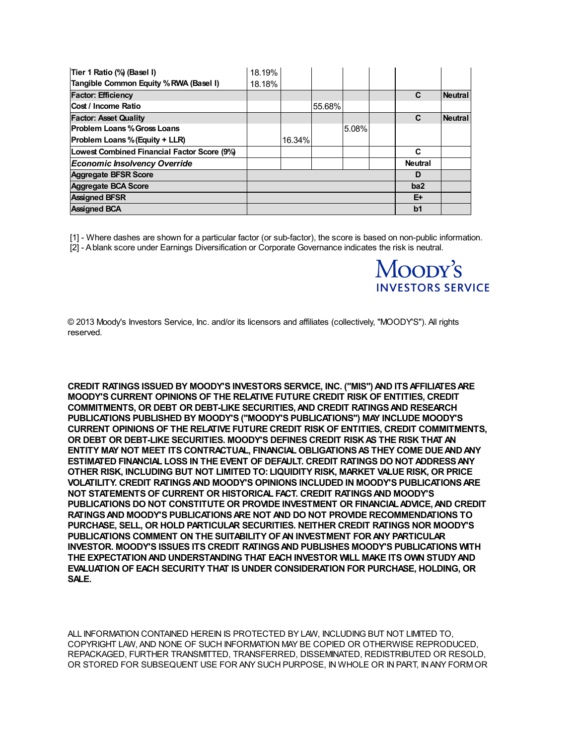| Tier 1 Ratio (%) (Basel I)                  | 18.19% |        |        |       |                |                |
|---------------------------------------------|--------|--------|--------|-------|----------------|----------------|
| Tangible Common Equity % RWA (Basel I)      | 18.18% |        |        |       |                |                |
| <b>Factor: Efficiency</b>                   |        |        |        |       | C              | <b>Neutral</b> |
| Cost / Income Ratio                         |        |        | 55.68% |       |                |                |
| <b>Factor: Asset Quality</b>                |        |        |        |       | C              | <b>Neutral</b> |
| <b>Problem Loans % Gross Loans</b>          |        |        |        | 5.08% |                |                |
| <b>Problem Loans % (Equity + LLR)</b>       |        | 16.34% |        |       |                |                |
| Lowest Combined Financial Factor Score (9%) |        |        |        |       | C              |                |
| <b>Economic Insolvency Override</b>         |        |        |        |       | <b>Neutral</b> |                |
| <b>Aggregate BFSR Score</b>                 |        |        |        |       | D              |                |
| <b>Aggregate BCA Score</b>                  |        |        |        |       | ba2            |                |
| <b>Assigned BFSR</b>                        |        |        |        |       | E+             |                |
| <b>Assigned BCA</b>                         |        |        |        |       | b1             |                |

[1] - Where dashes are shown for a particular factor (or sub-factor), the score is based on non-public information. [2] - Ablank score under Earnings Diversification or Corporate Governance indicates the risk is neutral.



© 2013 Moody's Investors Service, Inc. and/or its licensors and affiliates (collectively, "MOODY'S"). All rights reserved.

**CREDIT RATINGS ISSUED BY MOODY'S INVESTORS SERVICE, INC. ("MIS")AND ITSAFFILIATESARE MOODY'S CURRENT OPINIONS OF THE RELATIVE FUTURE CREDIT RISK OF ENTITIES, CREDIT COMMITMENTS, OR DEBT OR DEBT-LIKE SECURITIES,AND CREDIT RATINGSAND RESEARCH PUBLICATIONS PUBLISHED BY MOODY'S ("MOODY'S PUBLICATIONS") MAY INCLUDE MOODY'S CURRENT OPINIONS OF THE RELATIVE FUTURE CREDIT RISK OF ENTITIES, CREDIT COMMITMENTS, OR DEBT OR DEBT-LIKE SECURITIES. MOODY'S DEFINES CREDIT RISKAS THE RISK THAT AN ENTITY MAY NOT MEET ITS CONTRACTUAL, FINANCIAL OBLIGATIONSAS THEY COME DUEANDANY ESTIMATED FINANCIAL LOSS IN THE EVENT OF DEFAULT. CREDIT RATINGS DO NOT ADDRESSANY OTHER RISK, INCLUDING BUT NOT LIMITED TO: LIQUIDITY RISK, MARKET VALUE RISK, OR PRICE VOLATILITY. CREDIT RATINGSAND MOODY'S OPINIONS INCLUDED IN MOODY'S PUBLICATIONSARE NOT STATEMENTS OF CURRENT OR HISTORICAL FACT. CREDIT RATINGSAND MOODY'S PUBLICATIONS DO NOT CONSTITUTE OR PROVIDE INVESTMENT OR FINANCIALADVICE,AND CREDIT RATINGSAND MOODY'S PUBLICATIONSARE NOT AND DO NOT PROVIDE RECOMMENDATIONS TO PURCHASE, SELL, OR HOLD PARTICULAR SECURITIES. NEITHER CREDIT RATINGS NOR MOODY'S PUBLICATIONS COMMENT ON THE SUITABILITY OFAN INVESTMENT FORANY PARTICULAR INVESTOR. MOODY'S ISSUES ITS CREDIT RATINGSAND PUBLISHES MOODY'S PUBLICATIONS WITH THE EXPECTATIONAND UNDERSTANDING THAT EACH INVESTOR WILL MAKE ITS OWN STUDYAND EVALUATION OF EACH SECURITY THAT IS UNDER CONSIDERATION FOR PURCHASE, HOLDING, OR SALE.**

ALL INFORMATION CONTAINED HEREIN IS PROTECTED BY LAW, INCLUDING BUT NOT LIMITED TO, COPYRIGHT LAW, AND NONE OF SUCH INFORMATION MAY BE COPIED OR OTHERWISE REPRODUCED, REPACKAGED, FURTHER TRANSMITTED, TRANSFERRED, DISSEMINATED, REDISTRIBUTED OR RESOLD, OR STORED FOR SUBSEQUENT USE FOR ANY SUCH PURPOSE, IN WHOLE OR IN PART, INANY FORMOR